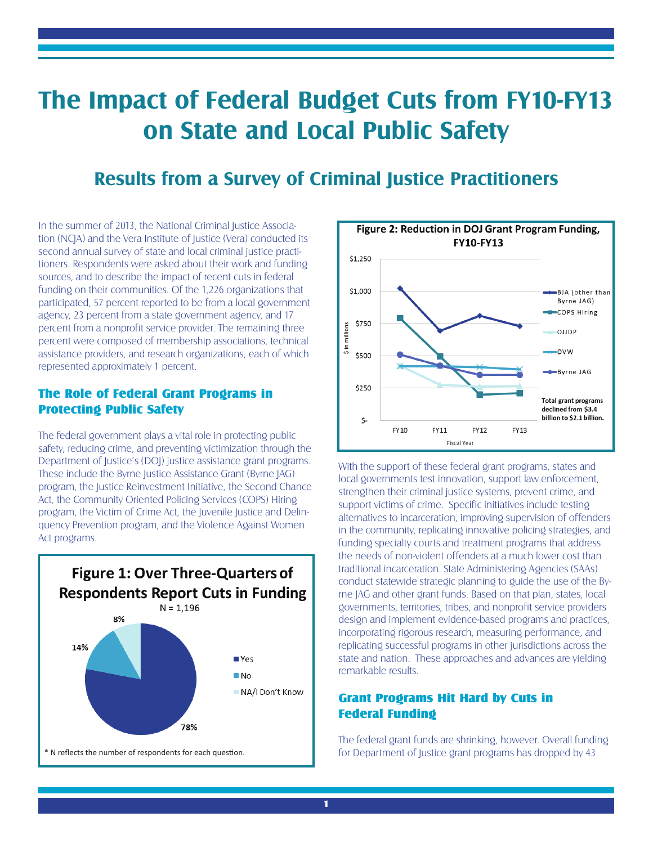# **The Impact of Federal Budget Cuts from FY10-FY13 on State and Local Public Safety**

### **Results from a Survey of Criminal Justice Practitioners**

In the summer of 2013, the National Criminal Justice Association (NCJA) and the Vera Institute of Justice (Vera) conducted its second annual survey of state and local criminal justice practitioners. Respondents were asked about their work and funding sources, and to describe the impact of recent cuts in federal funding on their communities. Of the 1,226 organizations that participated, 57 percent reported to be from a local government agency, 23 percent from a state government agency, and 17 percent from a nonprofit service provider. The remaining three percent were composed of membership associations, technical assistance providers, and research organizations, each of which represented approximately 1 percent.

### The Role of Federal Grant Programs in Protecting Public Safety

The federal government plays a vital role in protecting public safety, reducing crime, and preventing victimization through the Department of Justice's (DOJ) justice assistance grant programs. These include the Byrne Justice Assistance Grant (Byrne JAG) program, the Justice Reinvestment Initiative, the Second Chance Act, the Community Oriented Policing Services (COPS) Hiring program, the Victim of Crime Act, the Juvenile Justice and Delinquency Prevention program, and the Violence Against Women Act programs.





With the support of these federal grant programs, states and local governments test innovation, support law enforcement, strengthen their criminal justice systems, prevent crime, and support victims of crime. Specific initiatives include testing alternatives to incarceration, improving supervision of offenders in the community, replicating innovative policing strategies, and funding specialty courts and treatment programs that address the needs of non-violent offenders at a much lower cost than traditional incarceration. State Administering Agencies (SAAs) conduct statewide strategic planning to guide the use of the Byrne JAG and other grant funds. Based on that plan, states, local governments, territories, tribes, and nonprofit service providers design and implement evidence-based programs and practices, incorporating rigorous research, measuring performance, and replicating successful programs in other jurisdictions across the state and nation. These approaches and advances are yielding remarkable results.

### Grant Programs Hit Hard by Cuts in Federal Funding

The federal grant funds are shrinking, however. Overall funding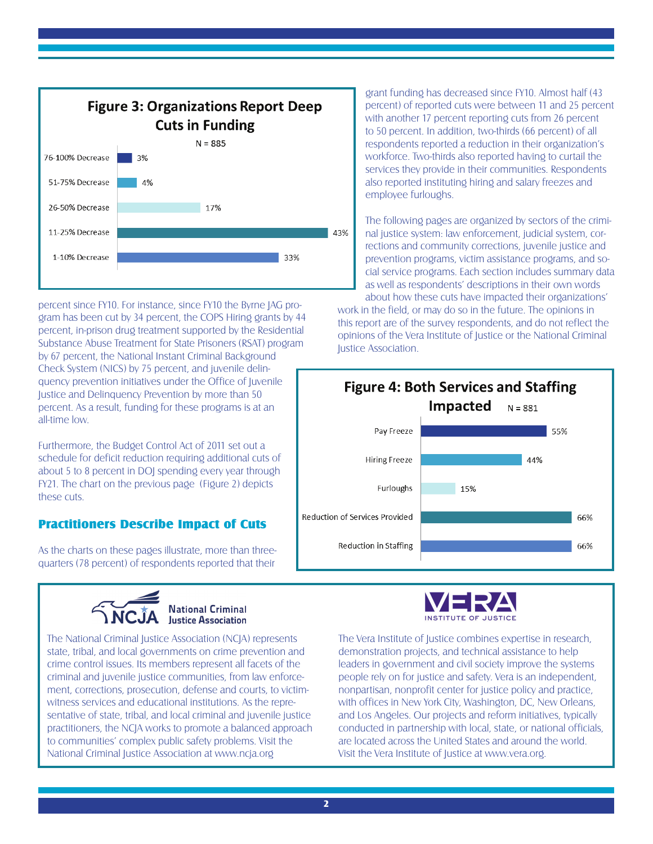

percent since FY10. For instance, since FY10 the Byrne JAG program has been cut by 34 percent, the COPS Hiring grants by 44 percent, in-prison drug treatment supported by the Residential Substance Abuse Treatment for State Prisoners (RSAT) program by 67 percent, the National Instant Criminal Background Check System (NICS) by 75 percent, and juvenile delinquency prevention initiatives under the Office of Juvenile Justice and Delinquency Prevention by more than 50 percent. As a result, funding for these programs is at an all-time low.

Furthermore, the Budget Control Act of 2011 set out a schedule for deficit reduction requiring additional cuts of about 5 to 8 percent in DOJ spending every year through FY21. The chart on the previous page (Figure 2) depicts these cuts.

### Practitioners Describe Impact of Cuts

As the charts on these pages illustrate, more than threequarters (78 percent) of respondents reported that their



The National Criminal Justice Association (NCJA) represents state, tribal, and local governments on crime prevention and crime control issues. Its members represent all facets of the criminal and juvenile justice communities, from law enforcement, corrections, prosecution, defense and courts, to victimwitness services and educational institutions. As the representative of state, tribal, and local criminal and juvenile justice practitioners, the NCJA works to promote a balanced approach to communities' complex public safety problems. Visit the National Criminal Justice Association at www.ncja.org

grant funding has decreased since FY10. Almost half (43 percent) of reported cuts were between 11 and 25 percent with another 17 percent reporting cuts from 26 percent to 50 percent. In addition, two-thirds (66 percent) of all respondents reported a reduction in their organization's workforce. Two-thirds also reported having to curtail the services they provide in their communities. Respondents also reported instituting hiring and salary freezes and employee furloughs.

The following pages are organized by sectors of the criminal justice system: law enforcement, judicial system, corrections and community corrections, juvenile justice and prevention programs, victim assistance programs, and social service programs. Each section includes summary data as well as respondents' descriptions in their own words about how these cuts have impacted their organizations'

work in the field, or may do so in the future. The opinions in this report are of the survey respondents, and do not reflect the opinions of the Vera Institute of Justice or the National Criminal Justice Association.





The Vera Institute of Justice combines expertise in research, demonstration projects, and technical assistance to help leaders in government and civil society improve the systems people rely on for justice and safety. Vera is an independent, nonpartisan, nonprofit center for justice policy and practice, with offices in New York City, Washington, DC, New Orleans, and Los Angeles. Our projects and reform initiatives, typically conducted in partnership with local, state, or national officials, are located across the United States and around the world. Visit the Vera Institute of Justice at www.vera.org.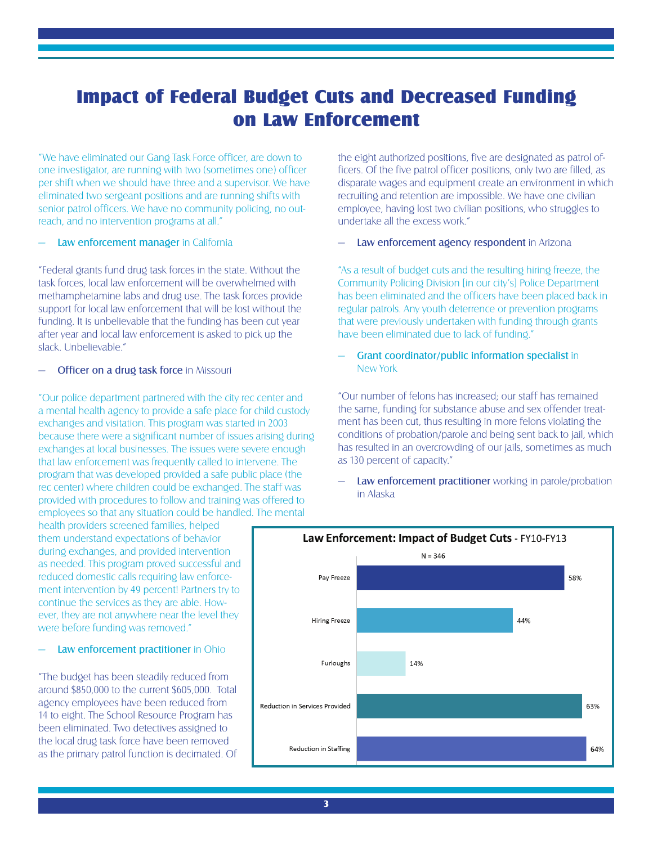## Impact of Federal Budget Cuts and Decreased Funding on Law Enforcement

"We have eliminated our Gang Task Force officer, are down to one investigator, are running with two (sometimes one) officer per shift when we should have three and a supervisor. We have eliminated two sergeant positions and are running shifts with senior patrol officers. We have no community policing, no outreach, and no intervention programs at all."

### Law enforcement manager in California

"Federal grants fund drug task forces in the state. Without the task forces, local law enforcement will be overwhelmed with methamphetamine labs and drug use. The task forces provide support for local law enforcement that will be lost without the funding. It is unbelievable that the funding has been cut year after year and local law enforcement is asked to pick up the slack. Unbelievable."

### Officer on a drug task force in Missouri

"Our police department partnered with the city rec center and a mental health agency to provide a safe place for child custody exchanges and visitation. This program was started in 2003 because there were a significant number of issues arising during exchanges at local businesses. The issues were severe enough that law enforcement was frequently called to intervene. The program that was developed provided a safe public place (the rec center) where children could be exchanged. The staff was provided with procedures to follow and training was offered to employees so that any situation could be handled. The mental

the eight authorized positions, five are designated as patrol officers. Of the five patrol officer positions, only two are filled, as disparate wages and equipment create an environment in which recruiting and retention are impossible. We have one civilian employee, having lost two civilian positions, who struggles to undertake all the excess work."

### Law enforcement agency respondent in Arizona

"As a result of budget cuts and the resulting hiring freeze, the Community Policing Division [in our city's] Police Department has been eliminated and the officers have been placed back in regular patrols. Any youth deterrence or prevention programs that were previously undertaken with funding through grants have been eliminated due to lack of funding."

### — Grant coordinator/public information specialist in New York

"Our number of felons has increased; our staff has remained the same, funding for substance abuse and sex offender treatment has been cut, thus resulting in more felons violating the conditions of probation/parole and being sent back to jail, which has resulted in an overcrowding of our jails, sometimes as much as 130 percent of capacity."

Law enforcement practitioner working in parole/probation in Alaska

health providers screened families, helped them understand expectations of behavior during exchanges, and provided intervention as needed. This program proved successful and reduced domestic calls requiring law enforcement intervention by 49 percent! Partners try to continue the services as they are able. However, they are not anywhere near the level they were before funding was removed."

Law enforcement practitioner in Ohio

"The budget has been steadily reduced from around \$850,000 to the current \$605,000. Total agency employees have been reduced from 14 to eight. The School Resource Program has been eliminated. Two detectives assigned to the local drug task force have been removed as the primary patrol function is decimated. Of

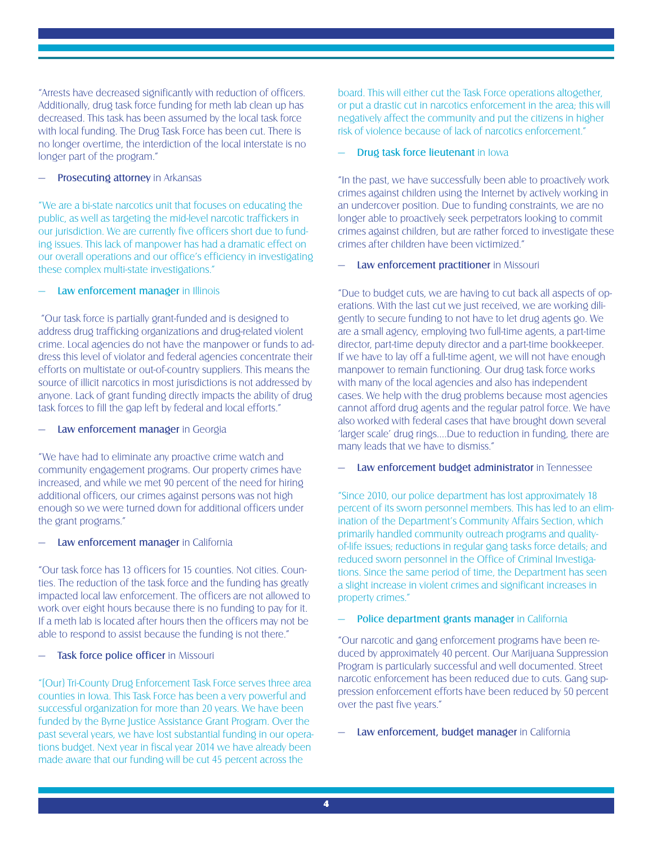"Arrests have decreased significantly with reduction of officers. Additionally, drug task force funding for meth lab clean up has decreased. This task has been assumed by the local task force with local funding. The Drug Task Force has been cut. There is no longer overtime, the interdiction of the local interstate is no longer part of the program."

### Prosecuting attorney in Arkansas

"We are a bi-state narcotics unit that focuses on educating the public, as well as targeting the mid-level narcotic traffickers in our jurisdiction. We are currently five officers short due to funding issues. This lack of manpower has had a dramatic effect on our overall operations and our office's efficiency in investigating these complex multi-state investigations."

### Law enforcement manager in Illinois

 "Our task force is partially grant-funded and is designed to address drug trafficking organizations and drug-related violent crime. Local agencies do not have the manpower or funds to address this level of violator and federal agencies concentrate their efforts on multistate or out-of-country suppliers. This means the source of illicit narcotics in most jurisdictions is not addressed by anyone. Lack of grant funding directly impacts the ability of drug task forces to fill the gap left by federal and local efforts."

### Law enforcement manager in Georgia

"We have had to eliminate any proactive crime watch and community engagement programs. Our property crimes have increased, and while we met 90 percent of the need for hiring additional officers, our crimes against persons was not high enough so we were turned down for additional officers under the grant programs."

### Law enforcement manager in California

"Our task force has 13 officers for 15 counties. Not cities. Counties. The reduction of the task force and the funding has greatly impacted local law enforcement. The officers are not allowed to work over eight hours because there is no funding to pay for it. If a meth lab is located after hours then the officers may not be able to respond to assist because the funding is not there."

### Task force police officer in Missouri

"[Our} Tri-County Drug Enforcement Task Force serves three area counties in Iowa. This Task Force has been a very powerful and successful organization for more than 20 years. We have been funded by the Byrne Justice Assistance Grant Program. Over the past several years, we have lost substantial funding in our operations budget. Next year in fiscal year 2014 we have already been made aware that our funding will be cut 45 percent across the

board. This will either cut the Task Force operations altogether, or put a drastic cut in narcotics enforcement in the area; this will negatively affect the community and put the citizens in higher risk of violence because of lack of narcotics enforcement."

### Drug task force lieutenant in Iowa

"In the past, we have successfully been able to proactively work crimes against children using the Internet by actively working in an undercover position. Due to funding constraints, we are no longer able to proactively seek perpetrators looking to commit crimes against children, but are rather forced to investigate these crimes after children have been victimized."

### Law enforcement practitioner in Missouri

"Due to budget cuts, we are having to cut back all aspects of operations. With the last cut we just received, we are working diligently to secure funding to not have to let drug agents go. We are a small agency, employing two full-time agents, a part-time director, part-time deputy director and a part-time bookkeeper. If we have to lay off a full-time agent, we will not have enough manpower to remain functioning. Our drug task force works with many of the local agencies and also has independent cases. We help with the drug problems because most agencies cannot afford drug agents and the regular patrol force. We have also worked with federal cases that have brought down several 'larger scale' drug rings….Due to reduction in funding, there are many leads that we have to dismiss."

### Law enforcement budget administrator in Tennessee

"Since 2010, our police department has lost approximately 18 percent of its sworn personnel members. This has led to an elimination of the Department's Community Affairs Section, which primarily handled community outreach programs and qualityof-life issues; reductions in regular gang tasks force details; and reduced sworn personnel in the Office of Criminal Investigations. Since the same period of time, the Department has seen a slight increase in violent crimes and significant increases in property crimes."

### Police department grants manager in California

"Our narcotic and gang enforcement programs have been reduced by approximately 40 percent. Our Marijuana Suppression Program is particularly successful and well documented. Street narcotic enforcement has been reduced due to cuts. Gang suppression enforcement efforts have been reduced by 50 percent over the past five years."

### Law enforcement, budget manager in California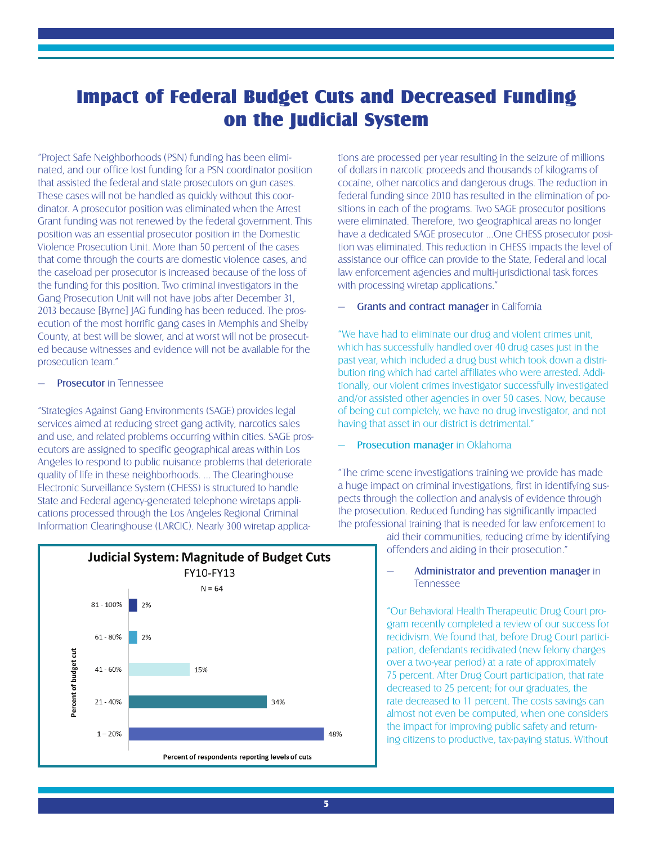# Impact of Federal Budget Cuts and Decreased Funding on the Judicial System

"Project Safe Neighborhoods (PSN) funding has been eliminated, and our office lost funding for a PSN coordinator position that assisted the federal and state prosecutors on gun cases. These cases will not be handled as quickly without this coordinator. A prosecutor position was eliminated when the Arrest Grant funding was not renewed by the federal government. This position was an essential prosecutor position in the Domestic Violence Prosecution Unit. More than 50 percent of the cases that come through the courts are domestic violence cases, and the caseload per prosecutor is increased because of the loss of the funding for this position. Two criminal investigators in the Gang Prosecution Unit will not have jobs after December 31, 2013 because [Byrne] JAG funding has been reduced. The prosecution of the most horrific gang cases in Memphis and Shelby County, at best will be slower, and at worst will not be prosecuted because witnesses and evidence will not be available for the prosecution team."

### Prosecutor in Tennessee

"Strategies Against Gang Environments (SAGE) provides legal services aimed at reducing street gang activity, narcotics sales and use, and related problems occurring within cities. SAGE prosecutors are assigned to specific geographical areas within Los Angeles to respond to public nuisance problems that deteriorate quality of life in these neighborhoods. ... The Clearinghouse Electronic Surveillance System (CHESS) is structured to handle State and Federal agency-generated telephone wiretaps applications processed through the Los Angeles Regional Criminal Information Clearinghouse (LARCIC). Nearly 300 wiretap applica-



tions are processed per year resulting in the seizure of millions of dollars in narcotic proceeds and thousands of kilograms of cocaine, other narcotics and dangerous drugs. The reduction in federal funding since 2010 has resulted in the elimination of positions in each of the programs. Two SAGE prosecutor positions were eliminated. Therefore, two geographical areas no longer have a dedicated SAGE prosecutor ...One CHESS prosecutor position was eliminated. This reduction in CHESS impacts the level of assistance our office can provide to the State, Federal and local law enforcement agencies and multi-jurisdictional task forces with processing wiretap applications."

#### Grants and contract manager in California

"We have had to eliminate our drug and violent crimes unit, which has successfully handled over 40 drug cases just in the past year, which included a drug bust which took down a distribution ring which had cartel affiliates who were arrested. Additionally, our violent crimes investigator successfully investigated and/or assisted other agencies in over 50 cases. Now, because of being cut completely, we have no drug investigator, and not having that asset in our district is detrimental."

### Prosecution manager in Oklahoma

"The crime scene investigations training we provide has made a huge impact on criminal investigations, first in identifying suspects through the collection and analysis of evidence through the prosecution. Reduced funding has significantly impacted the professional training that is needed for law enforcement to

> aid their communities, reducing crime by identifying offenders and aiding in their prosecution."

### Administrator and prevention manager in Tennessee

"Our Behavioral Health Therapeutic Drug Court program recently completed a review of our success for recidivism. We found that, before Drug Court participation, defendants recidivated (new felony charges over a two-year period) at a rate of approximately 75 percent. After Drug Court participation, that rate decreased to 25 percent; for our graduates, the rate decreased to 11 percent. The costs savings can almost not even be computed, when one considers the impact for improving public safety and returning citizens to productive, tax-paying status. Without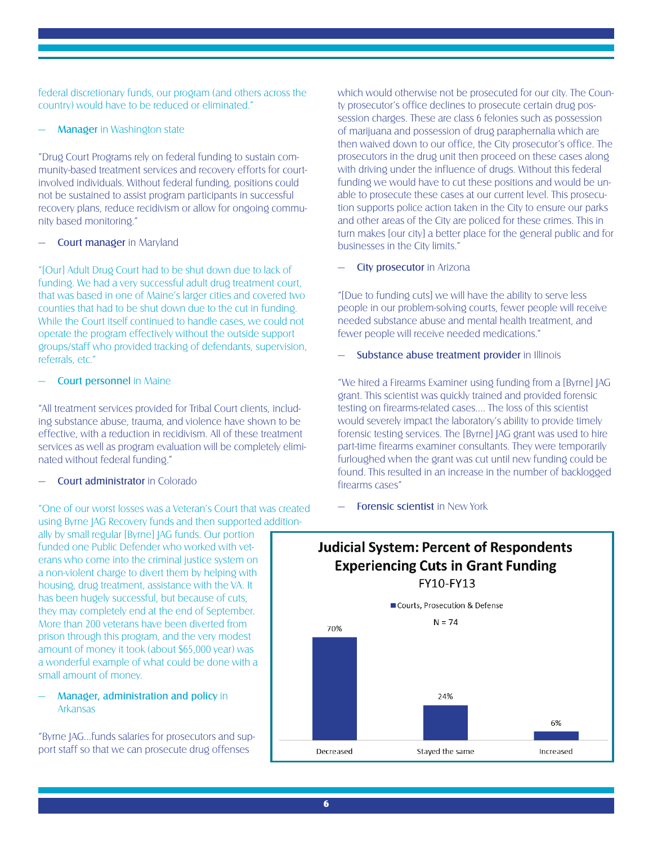federal discretionary funds, our program (and others across the country) would have to be reduced or eliminated."

### **Manager** in Washington state

"Drug Court Programs rely on federal funding to sustain community-based treatment services and recovery efforts for courtinvolved individuals. Without federal funding, positions could not be sustained to assist program participants in successful recovery plans, reduce recidivism or allow for ongoing community based monitoring."

### Court manager in Maryland

"[Our] Adult Drug Court had to be shut down due to lack of funding. We had a very successful adult drug treatment court, that was based in one of Maine's larger cities and covered two counties that had to be shut down due to the cut in funding. While the Court itself continued to handle cases, we could not operate the program effectively without the outside support groups/staff who provided tracking of defendants, supervision, referrals, etc."

### Court personnel in Maine

"All treatment services provided for Tribal Court clients, including substance abuse, trauma, and violence have shown to be effective, with a reduction in recidivism. All of these treatment services as well as program evaluation will be completely eliminated without federal funding."

### Court administrator in Colorado

"One of our worst losses was a Veteran's Court that was created using Byrne JAG Recovery funds and then supported addition-

ally by small regular [Byrne] JAG funds. Our portion funded one Public Defender who worked with veterans who come into the criminal justice system on a non-violent charge to divert them by helping with housing, drug treatment, assistance with the VA. It has been hugely successful, but because of cuts, they may completely end at the end of September. More than 200 veterans have been diverted from prison through this program, and the very modest amount of money it took (about \$65,000 year) was a wonderful example of what could be done with a small amount of money.

### Manager, administration and policy in Arkansas

"Byrne JAG...funds salaries for prosecutors and support staff so that we can prosecute drug offenses

which would otherwise not be prosecuted for our city. The County prosecutor's office declines to prosecute certain drug possession charges. These are class 6 felonies such as possession of marijuana and possession of drug paraphernalia which are then waived down to our office, the City prosecutor's office. The prosecutors in the drug unit then proceed on these cases along with driving under the influence of drugs. Without this federal funding we would have to cut these positions and would be unable to prosecute these cases at our current level. This prosecution supports police action taken in the City to ensure our parks and other areas of the City are policed for these crimes. This in turn makes [our city] a better place for the general public and for businesses in the City limits."

City prosecutor in Arizona

"[Due to funding cuts] we will have the ability to serve less people in our problem-solving courts, fewer people will receive needed substance abuse and mental health treatment, and fewer people will receive needed medications."

### Substance abuse treatment provider in Illinois

"We hired a Firearms Examiner using funding from a [Byrne] JAG grant. This scientist was quickly trained and provided forensic testing on firearms-related cases.... The loss of this scientist would severely impact the laboratory's ability to provide timely forensic testing services. The [Byrne] JAG grant was used to hire part-time firearms examiner consultants. They were temporarily furloughed when the grant was cut until new funding could be found. This resulted in an increase in the number of backlogged firearms cases"

**Forensic scientist in New York** 

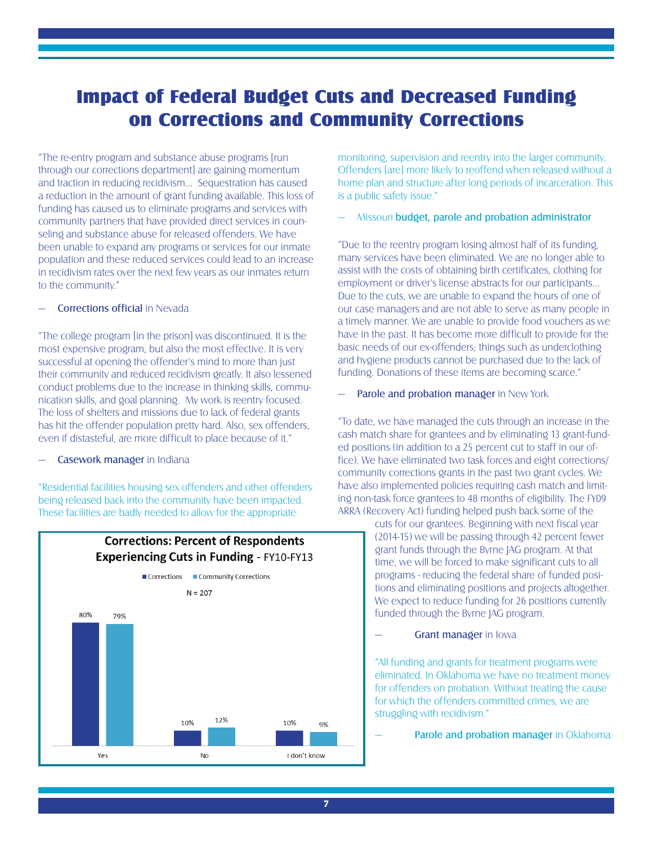# Impact of Federal Budget Cuts and Decreased Funding on Corrections and Community Corrections

"The re-entry program and substance abuse programs [run through our corrections department] are gaining momentum and traction in reducing recidivism… Sequestration has caused a reduction in the amount of grant funding available. This loss of funding has caused us to eliminate programs and services with community partners that have provided direct services in counseling and substance abuse for released offenders. We have been unable to expand any programs or services for our inmate population and these reduced services could lead to an increase in recidivism rates over the next few years as our inmates return to the community"

### Corrections official in Nevada

"The college program [in the prison] was discontinued. It is the most expensive program, but also the most effective. It is very successful at opening the offender's mind to more than just their community and reduced recidivism greatly. It also lessened conduct problems due to the increase in thinking skills, communication skills, and goal planning. My work is reentry focused. The loss of shelters and missions due to lack of federal grants has hit the offender population pretty hard. Also, sex offenders, even if distasteful, are more difficult to place because of it."

### Casework manager in Indiana

"Residential facilities housing sex offenders and other offenders being released back into the community have been impacted. These facilities are badly needed to allow for the appropriate



monitoring, supervision and reentry into the larger community. Offenders [are] more likely to reoffend when released without a home plan and structure after long periods of incarceration. This is a public safety issue."

### — Missouri budget, parole and probation administrator

"Due to the reentry program losing almost half of its funding, many services have been eliminated. We are no longer able to assist with the costs of obtaining birth certificates, clothing for employment or driver's license abstracts for our participants… Due to the cuts, we are unable to expand the hours of one of our case managers and are not able to serve as many people in a timely manner. We are unable to provide food vouchers as we have in the past. It has become more difficult to provide for the basic needs of our ex-offenders; things such as underclothing and hygiene products cannot be purchased due to the lack of funding. Donations of these items are becoming scarce."

Parole and probation manager in New York

"To date, we have managed the cuts through an increase in the cash match share for grantees and by eliminating 13 grant-funded positions (in addition to a 25 percent cut to staff in our office). We have eliminated two task forces and eight corrections/ community corrections grants in the past two grant cycles. We have also implemented policies requiring cash match and limiting non-task force grantees to 48 months of eligibility. The FY09 ARRA (Recovery Act) funding helped push back some of the

> cuts for our grantees. Beginning with next fiscal year (2014-15) we will be passing through 42 percent fewer grant funds through the Byrne JAG program. At that time, we will be forced to make significant cuts to all programs - reducing the federal share of funded positions and eliminating positions and projects altogether. We expect to reduce funding for 26 positions currently funded through the Byrne JAG program.

#### Grant manager in Iowa

"All funding and grants for treatment programs were eliminated. In Oklahoma we have no treatment money for offenders on probation. Without treating the cause for which the offenders committed crimes, we are struggling with recidivism."

Parole and probation manager in Oklahoma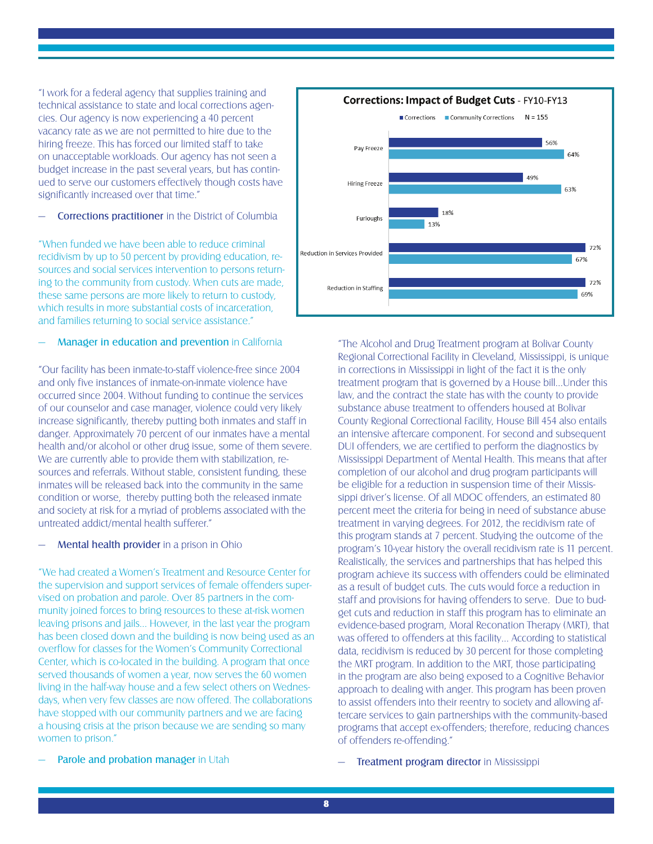"I work for a federal agency that supplies training and technical assistance to state and local corrections agencies. Our agency is now experiencing a 40 percent vacancy rate as we are not permitted to hire due to the hiring freeze. This has forced our limited staff to take on unacceptable workloads. Our agency has not seen a budget increase in the past several years, but has continued to serve our customers effectively though costs have significantly increased over that time."

### Corrections practitioner in the District of Columbia

"When funded we have been able to reduce criminal recidivism by up to 50 percent by providing education, resources and social services intervention to persons returning to the community from custody. When cuts are made, these same persons are more likely to return to custody, which results in more substantial costs of incarceration, and families returning to social service assistance."

### Manager in education and prevention in California

"Our facility has been inmate-to-staff violence-free since 2004 and only five instances of inmate-on-inmate violence have occurred since 2004. Without funding to continue the services of our counselor and case manager, violence could very likely increase significantly, thereby putting both inmates and staff in danger. Approximately 70 percent of our inmates have a mental health and/or alcohol or other drug issue, some of them severe. We are currently able to provide them with stabilization, resources and referrals. Without stable, consistent funding, these inmates will be released back into the community in the same condition or worse, thereby putting both the released inmate and society at risk for a myriad of problems associated with the untreated addict/mental health sufferer."

### Mental health provider in a prison in Ohio

"We had created a Women's Treatment and Resource Center for the supervision and support services of female offenders supervised on probation and parole. Over 85 partners in the community joined forces to bring resources to these at-risk women leaving prisons and jails… However, in the last year the program has been closed down and the building is now being used as an overflow for classes for the Women's Community Correctional Center, which is co-located in the building. A program that once served thousands of women a year, now serves the 60 women living in the half-way house and a few select others on Wednesdays, when very few classes are now offered. The collaborations have stopped with our community partners and we are facing a housing crisis at the prison because we are sending so many women to prison."

Parole and probation manager in Utah



"The Alcohol and Drug Treatment program at Bolivar County Regional Correctional Facility in Cleveland, Mississippi, is unique in corrections in Mississippi in light of the fact it is the only treatment program that is governed by a House bill...Under this law, and the contract the state has with the county to provide substance abuse treatment to offenders housed at Bolivar County Regional Correctional Facility, House Bill 454 also entails an intensive aftercare component. For second and subsequent DUI offenders, we are certified to perform the diagnostics by Mississippi Department of Mental Health. This means that after completion of our alcohol and drug program participants will be eligible for a reduction in suspension time of their Mississippi driver's license. Of all MDOC offenders, an estimated 80 percent meet the criteria for being in need of substance abuse treatment in varying degrees. For 2012, the recidivism rate of this program stands at 7 percent. Studying the outcome of the program's 10-year history the overall recidivism rate is 11 percent. Realistically, the services and partnerships that has helped this program achieve its success with offenders could be eliminated as a result of budget cuts. The cuts would force a reduction in staff and provisions for having offenders to serve. Due to budget cuts and reduction in staff this program has to eliminate an evidence-based program, Moral Reconation Therapy (MRT), that was offered to offenders at this facility… According to statistical data, recidivism is reduced by 30 percent for those completing the MRT program. In addition to the MRT, those participating in the program are also being exposed to a Cognitive Behavior approach to dealing with anger. This program has been proven to assist offenders into their reentry to society and allowing aftercare services to gain partnerships with the community-based programs that accept ex-offenders; therefore, reducing chances of offenders re-offending."

Treatment program director in Mississippi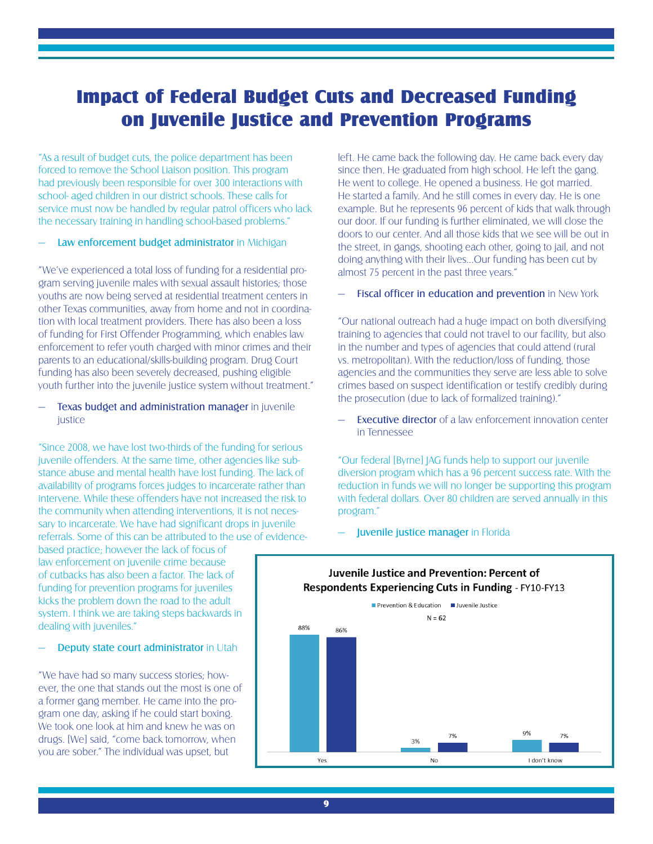## Impact of Federal Budget Cuts and Decreased Funding on Juvenile Justice and Prevention Programs

"As a result of budget cuts, the police department has been forced to remove the School Liaison position. This program had previously been responsible for over 300 interactions with school- aged children in our district schools. These calls for service must now be handled by regular patrol officers who lack the necessary training in handling school-based problems."

### Law enforcement budget administrator in Michigan

"We've experienced a total loss of funding for a residential program serving juvenile males with sexual assault histories; those youths are now being served at residential treatment centers in other Texas communities, away from home and not in coordination with local treatment providers. There has also been a loss of funding for First Offender Programming, which enables law enforcement to refer youth charged with minor crimes and their parents to an educational/skills-building program. Drug Court funding has also been severely decreased, pushing eligible youth further into the juvenile justice system without treatment."

Texas budget and administration manager in juvenile *justice* 

"Since 2008, we have lost two-thirds of the funding for serious juvenile offenders. At the same time, other agencies like substance abuse and mental health have lost funding. The lack of availability of programs forces judges to incarcerate rather than intervene. While these offenders have not increased the risk to the community when attending interventions, it is not necessary to incarcerate. We have had significant drops in juvenile referrals. Some of this can be attributed to the use of evidence-

based practice; however the lack of focus of law enforcement on juvenile crime because of cutbacks has also been a factor. The lack of funding for prevention programs for juveniles kicks the problem down the road to the adult system. I think we are taking steps backwards in dealing with juveniles."

Deputy state court administrator in Utah

"We have had so many success stories; however, the one that stands out the most is one of a former gang member. He came into the program one day, asking if he could start boxing. We took one look at him and knew he was on drugs. [We] said, "come back tomorrow, when you are sober." The individual was upset, but

left. He came back the following day. He came back every day since then. He graduated from high school. He left the gang. He went to college. He opened a business. He got married. He started a family. And he still comes in every day. He is one example. But he represents 96 percent of kids that walk through our door. If our funding is further eliminated, we will close the doors to our center. And all those kids that we see will be out in the street, in gangs, shooting each other, going to jail, and not doing anything with their lives…Our funding has been cut by almost 75 percent in the past three years."

Fiscal officer in education and prevention in New York

"Our national outreach had a huge impact on both diversifying training to agencies that could not travel to our facility, but also in the number and types of agencies that could attend (rural vs. metropolitan). With the reduction/loss of funding, those agencies and the communities they serve are less able to solve crimes based on suspect identification or testify credibly during the prosecution (due to lack of formalized training)."

**Executive director** of a law enforcement innovation center in Tennessee

"Our federal [Byrne] JAG funds help to support our juvenile diversion program which has a 96 percent success rate. With the reduction in funds we will no longer be supporting this program with federal dollars. Over 80 children are served annually in this program."

— Juvenile justice manager in Florida



# Juvenile Justice and Prevention: Percent of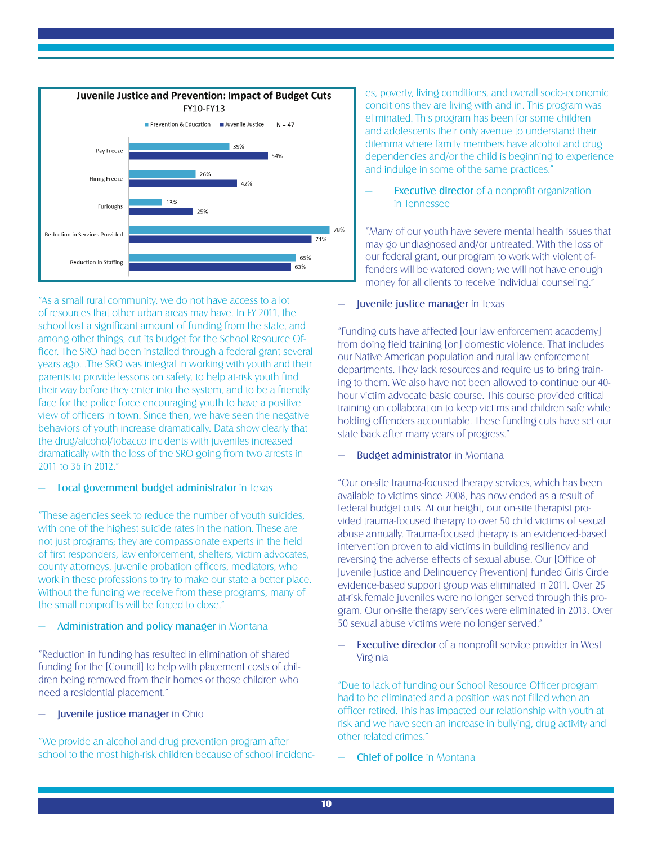

"As a small rural community, we do not have access to a lot of resources that other urban areas may have. In FY 2011, the school lost a significant amount of funding from the state, and among other things, cut its budget for the School Resource Officer. The SRO had been installed through a federal grant several years ago…The SRO was integral in working with youth and their parents to provide lessons on safety, to help at-risk youth find their way before they enter into the system, and to be a friendly face for the police force encouraging youth to have a positive view of officers in town. Since then, we have seen the negative behaviors of youth increase dramatically. Data show clearly that the drug/alcohol/tobacco incidents with juveniles increased dramatically with the loss of the SRO going from two arrests in 2011 to 36 in 2012."

### Local government budget administrator in Texas

"These agencies seek to reduce the number of youth suicides, with one of the highest suicide rates in the nation. These are not just programs; they are compassionate experts in the field of first responders, law enforcement, shelters, victim advocates, county attorneys, juvenile probation officers, mediators, who work in these professions to try to make our state a better place. Without the funding we receive from these programs, many of the small nonprofits will be forced to close."

### Administration and policy manager in Montana

"Reduction in funding has resulted in elimination of shared funding for the [Council] to help with placement costs of children being removed from their homes or those children who need a residential placement."

### Juvenile justice manager in Ohio

"We provide an alcohol and drug prevention program after school to the most high-risk children because of school incidences, poverty, living conditions, and overall socio-economic conditions they are living with and in. This program was eliminated. This program has been for some children and adolescents their only avenue to understand their dilemma where family members have alcohol and drug dependencies and/or the child is beginning to experience and indulge in some of the same practices."

### **Executive director** of a nonprofit organization in Tennessee

"Many of our youth have severe mental health issues that may go undiagnosed and/or untreated. With the loss of our federal grant, our program to work with violent offenders will be watered down; we will not have enough money for all clients to receive individual counseling."

### Juvenile justice manager in Texas

"Funding cuts have affected [our law enforcement acacdemy] from doing field training [on] domestic violence. That includes our Native American population and rural law enforcement departments. They lack resources and require us to bring training to them. We also have not been allowed to continue our 40 hour victim advocate basic course. This course provided critical training on collaboration to keep victims and children safe while holding offenders accountable. These funding cuts have set our state back after many years of progress."

### Budget administrator in Montana

"Our on-site trauma-focused therapy services, which has been available to victims since 2008, has now ended as a result of federal budget cuts. At our height, our on-site therapist provided trauma-focused therapy to over 50 child victims of sexual abuse annually. Trauma-focused therapy is an evidenced-based intervention proven to aid victims in building resiliency and reversing the adverse effects of sexual abuse. Our [Office of Juvenile Justice and Delinquency Prevention] funded Girls Circle evidence-based support group was eliminated in 2011. Over 25 at-risk female juveniles were no longer served through this program. Our on-site therapy services were eliminated in 2013. Over 50 sexual abuse victims were no longer served."

Executive director of a nonprofit service provider in West Virginia

"Due to lack of funding our School Resource Officer program had to be eliminated and a position was not filled when an officer retired. This has impacted our relationship with youth at risk and we have seen an increase in bullying, drug activity and other related crimes."

**Chief of police in Montana**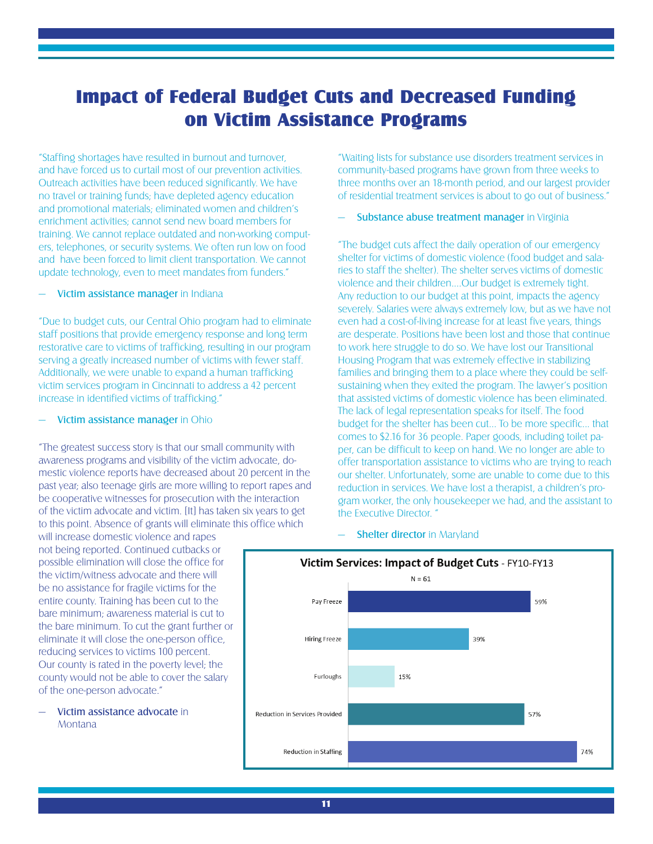## Impact of Federal Budget Cuts and Decreased Funding on Victim Assistance Programs

"Staffing shortages have resulted in burnout and turnover, and have forced us to curtail most of our prevention activities. Outreach activities have been reduced significantly. We have no travel or training funds; have depleted agency education and promotional materials; eliminated women and children's enrichment activities; cannot send new board members for training. We cannot replace outdated and non-working computers, telephones, or security systems. We often run low on food and have been forced to limit client transportation. We cannot update technology, even to meet mandates from funders."

### Victim assistance manager in Indiana

"Due to budget cuts, our Central Ohio program had to eliminate staff positions that provide emergency response and long term restorative care to victims of trafficking, resulting in our program serving a greatly increased number of victims with fewer staff. Additionally, we were unable to expand a human trafficking victim services program in Cincinnati to address a 42 percent increase in identified victims of trafficking."

#### Victim assistance manager in Ohio

"The greatest success story is that our small community with awareness programs and visibility of the victim advocate, domestic violence reports have decreased about 20 percent in the past year; also teenage girls are more willing to report rapes and be cooperative witnesses for prosecution with the interaction of the victim advocate and victim. [It] has taken six years to get to this point. Absence of grants will eliminate this office which

will increase domestic violence and rapes not being reported. Continued cutbacks or possible elimination will close the office for the victim/witness advocate and there will be no assistance for fragile victims for the entire county. Training has been cut to the bare minimum; awareness material is cut to the bare minimum. To cut the grant further or eliminate it will close the one-person office, reducing services to victims 100 percent. Our county is rated in the poverty level; the county would not be able to cover the salary of the one-person advocate."

### — Victim assistance advocate in Montana

"Waiting lists for substance use disorders treatment services in community-based programs have grown from three weeks to three months over an 18-month period, and our largest provider of residential treatment services is about to go out of business."

### Substance abuse treatment manager in Virginia

"The budget cuts affect the daily operation of our emergency shelter for victims of domestic violence (food budget and salaries to staff the shelter). The shelter serves victims of domestic violence and their children....Our budget is extremely tight. Any reduction to our budget at this point, impacts the agency severely. Salaries were always extremely low, but as we have not even had a cost-of-living increase for at least five years, things are desperate. Positions have been lost and those that continue to work here struggle to do so. We have lost our Transitional Housing Program that was extremely effective in stabilizing families and bringing them to a place where they could be selfsustaining when they exited the program. The lawyer's position that assisted victims of domestic violence has been eliminated. The lack of legal representation speaks for itself. The food budget for the shelter has been cut... To be more specific... that comes to \$2.16 for 36 people. Paper goods, including toilet paper, can be difficult to keep on hand. We no longer are able to offer transportation assistance to victims who are trying to reach our shelter. Unfortunately, some are unable to come due to this reduction in services. We have lost a therapist, a children's program worker, the only housekeeper we had, and the assistant to the Executive Director. "



#### **Shelter director in Maryland**